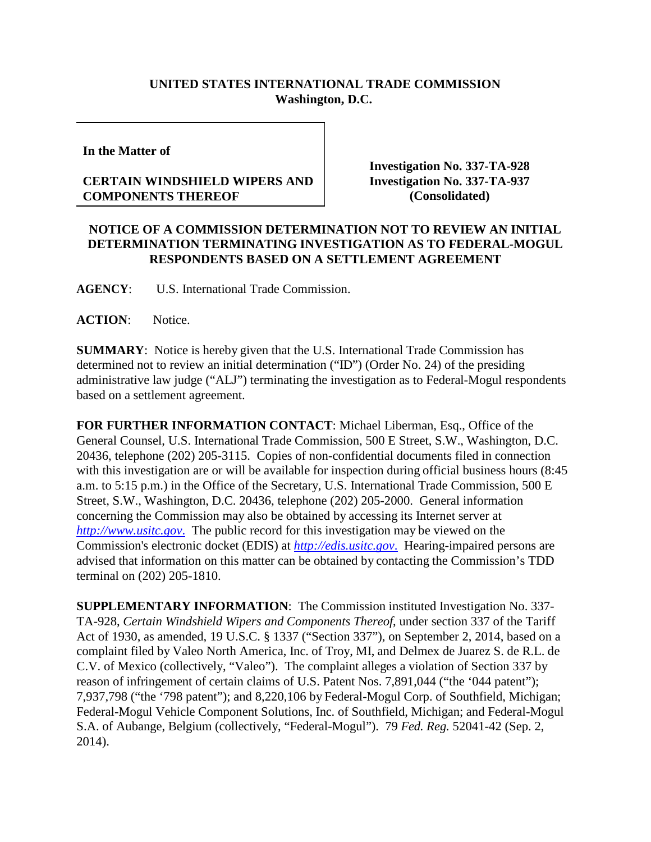## **UNITED STATES INTERNATIONAL TRADE COMMISSION Washington, D.C.**

**In the Matter of**

## **CERTAIN WINDSHIELD WIPERS AND COMPONENTS THEREOF**

**Investigation No. 337-TA-928 Investigation No. 337-TA-937 (Consolidated)**

## **NOTICE OF A COMMISSION DETERMINATION NOT TO REVIEW AN INITIAL DETERMINATION TERMINATING INVESTIGATION AS TO FEDERAL-MOGUL RESPONDENTS BASED ON A SETTLEMENT AGREEMENT**

**AGENCY**: U.S. International Trade Commission.

**ACTION**: Notice.

**SUMMARY**: Notice is hereby given that the U.S. International Trade Commission has determined not to review an initial determination ("ID") (Order No. 24) of the presiding administrative law judge ("ALJ") terminating the investigation as to Federal-Mogul respondents based on a settlement agreement.

**FOR FURTHER INFORMATION CONTACT**: Michael Liberman, Esq., Office of the General Counsel, U.S. International Trade Commission, 500 E Street, S.W., Washington, D.C. 20436, telephone (202) 205-3115. Copies of non-confidential documents filed in connection with this investigation are or will be available for inspection during official business hours (8:45 a.m. to 5:15 p.m.) in the Office of the Secretary, U.S. International Trade Commission, 500 E Street, S.W., Washington, D.C. 20436, telephone (202) 205-2000. General information concerning the Commission may also be obtained by accessing its Internet server at *[http://www.usitc.gov](http://www.usitc.gov./)*. The public record for this investigation may be viewed on the Commission's electronic docket (EDIS) at *[http://edis.usitc.gov](http://edis.usitc.gov./)*. Hearing-impaired persons are advised that information on this matter can be obtained by contacting the Commission's TDD terminal on (202) 205-1810.

**SUPPLEMENTARY INFORMATION**: The Commission instituted Investigation No. 337- TA-928, *Certain Windshield Wipers and Components Thereof*, under section 337 of the Tariff Act of 1930, as amended, 19 U.S.C. § 1337 ("Section 337"), on September 2, 2014, based on a complaint filed by Valeo North America, Inc. of Troy, MI, and Delmex de Juarez S. de R.L. de C.V. of Mexico (collectively, "Valeo"). The complaint alleges a violation of Section 337 by reason of infringement of certain claims of U.S. Patent Nos. 7,891,044 ("the '044 patent"); 7,937,798 ("the '798 patent"); and 8,220,106 by Federal-Mogul Corp. of Southfield, Michigan; Federal-Mogul Vehicle Component Solutions, Inc. of Southfield, Michigan; and Federal-Mogul S.A. of Aubange, Belgium (collectively, "Federal-Mogul"). 79 *Fed. Reg.* 52041-42 (Sep. 2, 2014).